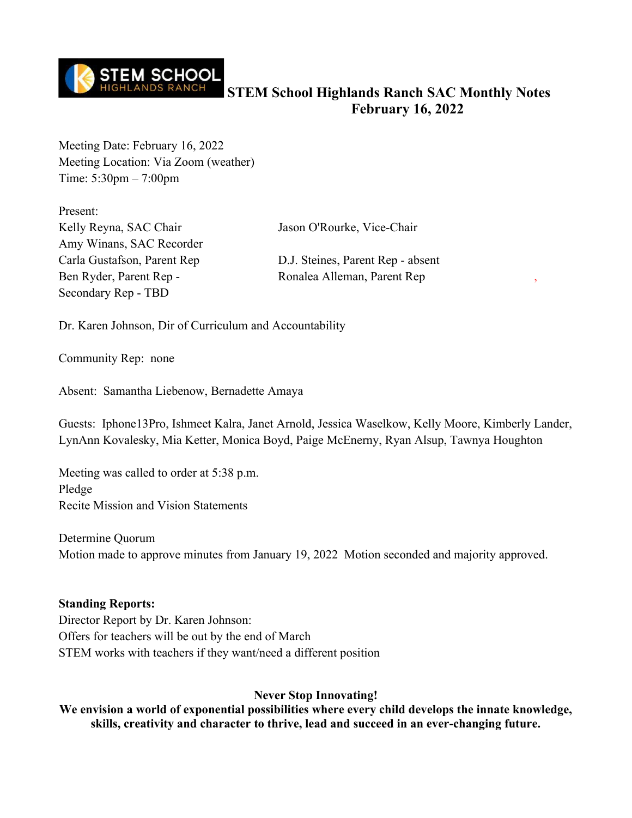

Meeting Date: February 16, 2022 Meeting Location: Via Zoom (weather) Time: 5:30pm – 7:00pm

Present: Kelly Reyna, SAC Chair Jason O'Rourke, Vice-Chair Amy Winans, SAC Recorder Ben Ryder, Parent Rep - Ronalea Alleman, Parent Rep Secondary Rep - TBD

Carla Gustafson, Parent Rep D.J. Steines, Parent Rep - absent

Dr. Karen Johnson, Dir of Curriculum and Accountability

Community Rep: none

Absent: Samantha Liebenow, Bernadette Amaya

Guests: Iphone13Pro, Ishmeet Kalra, Janet Arnold, Jessica Waselkow, Kelly Moore, Kimberly Lander, LynAnn Kovalesky, Mia Ketter, Monica Boyd, Paige McEnerny, Ryan Alsup, Tawnya Houghton

Meeting was called to order at 5:38 p.m. Pledge Recite Mission and Vision Statements

Determine Quorum Motion made to approve minutes from January 19, 2022 Motion seconded and majority approved.

#### **Standing Reports:**

Director Report by Dr. Karen Johnson: Offers for teachers will be out by the end of March STEM works with teachers if they want/need a different position

#### **Never Stop Innovating!**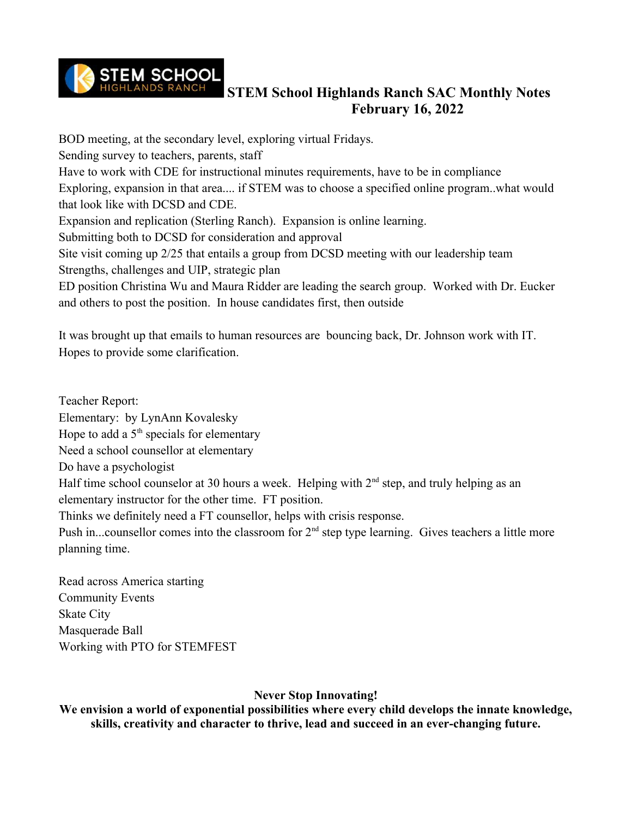

BOD meeting, at the secondary level, exploring virtual Fridays. Sending survey to teachers, parents, staff Have to work with CDE for instructional minutes requirements, have to be in compliance Exploring, expansion in that area.... if STEM was to choose a specified online program..what would that look like with DCSD and CDE. Expansion and replication (Sterling Ranch). Expansion is online learning. Submitting both to DCSD for consideration and approval Site visit coming up 2/25 that entails a group from DCSD meeting with our leadership team Strengths, challenges and UIP, strategic plan ED position Christina Wu and Maura Ridder are leading the search group. Worked with Dr. Eucker and others to post the position. In house candidates first, then outside

It was brought up that emails to human resources are bouncing back, Dr. Johnson work with IT. Hopes to provide some clarification.

Teacher Report: Elementary: by LynAnn Kovalesky Hope to add a  $5<sup>th</sup>$  specials for elementary Need a school counsellor at elementary Do have a psychologist Half time school counselor at 30 hours a week. Helping with  $2<sup>nd</sup>$  step, and truly helping as an elementary instructor for the other time. FT position. Thinks we definitely need a FT counsellor, helps with crisis response. Push in...counsellor comes into the classroom for  $2<sup>nd</sup>$  step type learning. Gives teachers a little more planning time.

Read across America starting Community Events Skate City Masquerade Ball Working with PTO for STEMFEST

### **Never Stop Innovating!**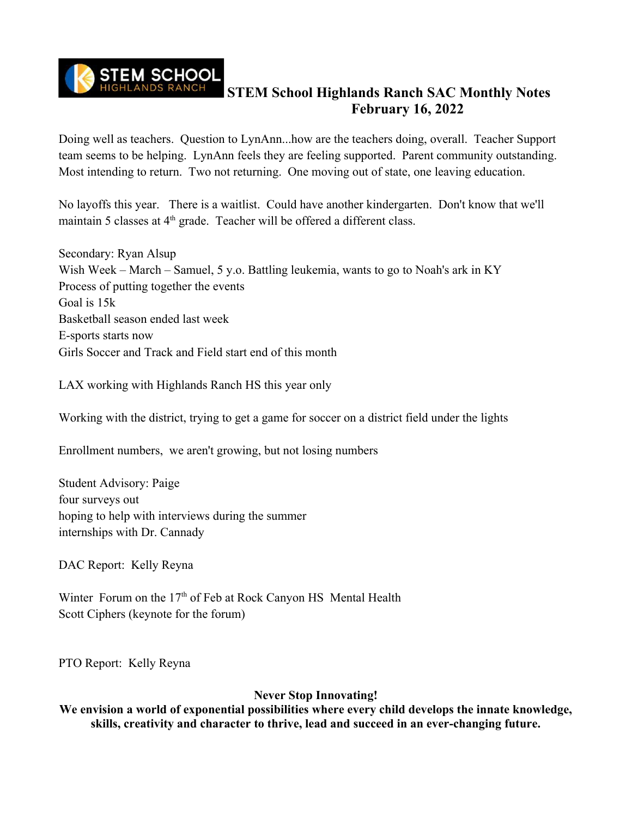

Doing well as teachers. Question to LynAnn...how are the teachers doing, overall. Teacher Support team seems to be helping. LynAnn feels they are feeling supported. Parent community outstanding. Most intending to return. Two not returning. One moving out of state, one leaving education.

No layoffs this year. There is a waitlist. Could have another kindergarten. Don't know that we'll maintain 5 classes at  $4<sup>th</sup>$  grade. Teacher will be offered a different class.

Secondary: Ryan Alsup Wish Week – March – Samuel, 5 y.o. Battling leukemia, wants to go to Noah's ark in KY Process of putting together the events Goal is 15k Basketball season ended last week E-sports starts now Girls Soccer and Track and Field start end of this month

LAX working with Highlands Ranch HS this year only

Working with the district, trying to get a game for soccer on a district field under the lights

Enrollment numbers, we aren't growing, but not losing numbers

Student Advisory: Paige four surveys out hoping to help with interviews during the summer internships with Dr. Cannady

DAC Report: Kelly Reyna

Winter Forum on the 17<sup>th</sup> of Feb at Rock Canyon HS Mental Health Scott Ciphers (keynote for the forum)

PTO Report: Kelly Reyna

**Never Stop Innovating!**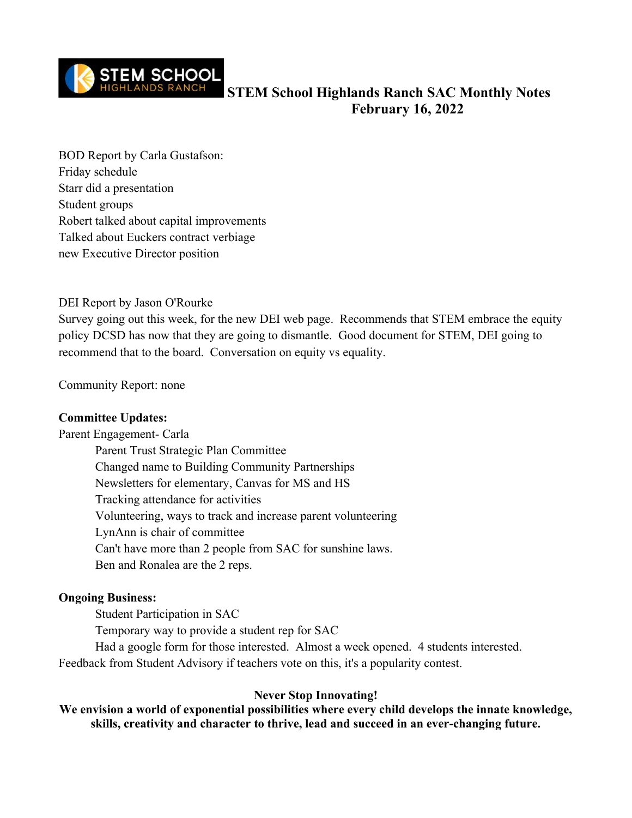

BOD Report by Carla Gustafson: Friday schedule Starr did a presentation Student groups Robert talked about capital improvements Talked about Euckers contract verbiage new Executive Director position

#### DEI Report by Jason O'Rourke

Survey going out this week, for the new DEI web page. Recommends that STEM embrace the equity policy DCSD has now that they are going to dismantle. Good document for STEM, DEI going to recommend that to the board. Conversation on equity vs equality.

Community Report: none

#### **Committee Updates:**

Parent Engagement- Carla

Parent Trust Strategic Plan Committee Changed name to Building Community Partnerships Newsletters for elementary, Canvas for MS and HS Tracking attendance for activities Volunteering, ways to track and increase parent volunteering LynAnn is chair of committee Can't have more than 2 people from SAC for sunshine laws. Ben and Ronalea are the 2 reps.

#### **Ongoing Business:**

Student Participation in SAC

Temporary way to provide a student rep for SAC

Had a google form for those interested. Almost a week opened. 4 students interested. Feedback from Student Advisory if teachers vote on this, it's a popularity contest.

#### **Never Stop Innovating!**